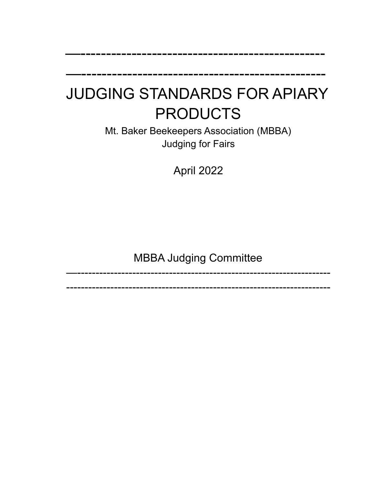# JUDGING STANDARDS FOR APIARY PRODUCTS

—------------------------------------------------

—------------------------------------------------

Mt. Baker Beekeepers Association (MBBA) Judging for Fairs

April 2022

# MBBA Judging Committee

—---------------------------------------------------------------------

------------------------------------------------------------------------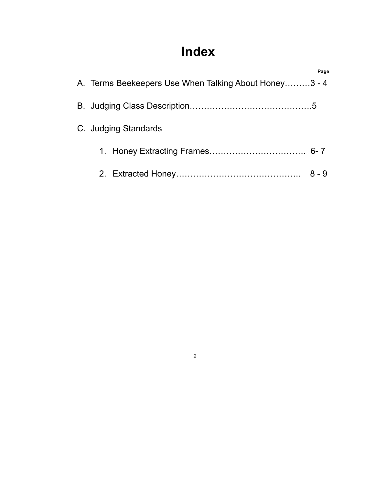# **Index**

|                                                       | Page    |
|-------------------------------------------------------|---------|
| A. Terms Beekeepers Use When Talking About Honey3 - 4 |         |
|                                                       |         |
| C. Judging Standards                                  |         |
|                                                       |         |
|                                                       | $8 - 9$ |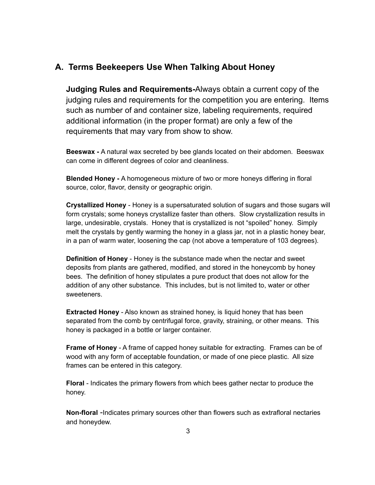### **A. Terms Beekeepers Use When Talking About Honey**

**Judging Rules and Requirements-**Always obtain a current copy of the judging rules and requirements for the competition you are entering. Items such as number of and container size, labeling requirements, required additional information (in the proper format) are only a few of the requirements that may vary from show to show.

**Beeswax -** A natural wax secreted by bee glands located on their abdomen. Beeswax can come in different degrees of color and cleanliness.

**Blended Honey -** A homogeneous mixture of two or more honeys differing in floral source, color, flavor, density or geographic origin.

**Crystallized Honey** - Honey is a supersaturated solution of sugars and those sugars will form crystals; some honeys crystallize faster than others. Slow crystallization results in large, undesirable, crystals. Honey that is crystallized is not "spoiled" honey. Simply melt the crystals by gently warming the honey in a glass jar, not in a plastic honey bear, in a pan of warm water, loosening the cap (not above a temperature of 103 degrees).

**Definition of Honey** - Honey is the substance made when the nectar and sweet deposits from plants are gathered, modified, and stored in the honeycomb by honey bees. The definition of honey stipulates a pure product that does not allow for the addition of any other substance. This includes, but is not limited to, water or other sweeteners.

**Extracted Honey** - Also known as strained honey, is liquid honey that has been separated from the comb by centrifugal force, gravity, straining, or other means. This honey is packaged in a bottle or larger container.

**Frame of Honey** - A frame of capped honey suitable for extracting. Frames can be of wood with any form of acceptable foundation, or made of one piece plastic. All size frames can be entered in this category.

**Floral** - Indicates the primary flowers from which bees gather nectar to produce the honey.

**Non-floral** -Indicates primary sources other than flowers such as extrafloral nectaries and honeydew.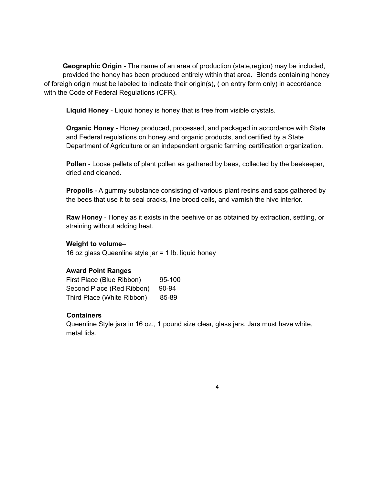**Geographic Origin** - The name of an area of production (state,region) may be included, provided the honey has been produced entirely within that area. Blends containing honey of foreigh origin must be labeled to indicate their origin(s), ( on entry form only) in accordance with the Code of Federal Regulations (CFR).

**Liquid Honey** - Liquid honey is honey that is free from visible crystals.

**Organic Honey** - Honey produced, processed, and packaged in accordance with State and Federal regulations on honey and organic products, and certified by a State Department of Agriculture or an independent organic farming certification organization.

**Pollen** - Loose pellets of plant pollen as gathered by bees, collected by the beekeeper, dried and cleaned.

**Propolis** - A gummy substance consisting of various plant resins and saps gathered by the bees that use it to seal cracks, line brood cells, and varnish the hive interior.

**Raw Honey** - Honey as it exists in the beehive or as obtained by extraction, settling, or straining without adding heat.

#### **Weight to volume–**

16 oz glass Queenline style jar = 1 lb. liquid honey

#### **Award Point Ranges**

| First Place (Blue Ribbon)  | 95-100 |
|----------------------------|--------|
| Second Place (Red Ribbon)  | 90-94  |
| Third Place (White Ribbon) | 85-89  |

#### **Containers**

Queenline Style jars in 16 oz., 1 pound size clear, glass jars. Jars must have white, metal lids.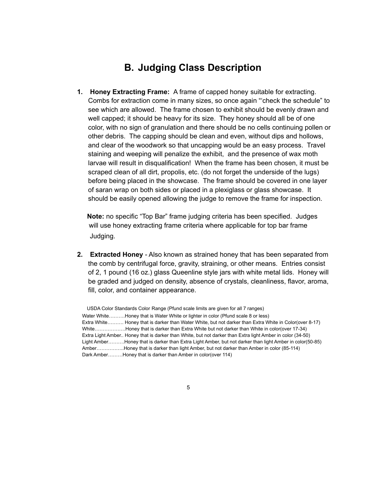## **B. Judging Class Description**

**1. Honey Extracting Frame:** A frame of capped honey suitable for extracting. Combs for extraction come in many sizes, so once again "'check the schedule" to see which are allowed. The frame chosen to exhibit should be evenly drawn and well capped; it should be heavy for its size. They honey should all be of one color, with no sign of granulation and there should be no cells continuing pollen or other debris. The capping should be clean and even, without dips and hollows, and clear of the woodwork so that uncapping would be an easy process. Travel staining and weeping will penalize the exhibit, and the presence of wax moth larvae will result in disqualification! When the frame has been chosen, it must be scraped clean of all dirt, propolis, etc. (do not forget the underside of the lugs) before being placed in the showcase. The frame should be covered in one layer of saran wrap on both sides or placed in a plexiglass or glass showcase. It should be easily opened allowing the judge to remove the frame for inspection.

**Note:** no specific "Top Bar" frame judging criteria has been specified. Judges will use honey extracting frame criteria where applicable for top bar frame Judging.

**2. Extracted Honey** - Also known as strained honey that has been separated from the comb by centrifugal force, gravity, straining, or other means. Entries consist of 2, 1 pound (16 oz.) glass Queenline style jars with white metal lids. Honey will be graded and judged on density, absence of crystals, cleanliness, flavor, aroma, fill, color, and container appearance.

USDA Color Standards Color Range (Pfund scale limits are given for all 7 ranges) Water White……….Honey that is Water White or lighter in color (Pfund scale 8 or less) Extra White………. Honey that is darker than Water White, but not darker than Extra White in Color(over 8-17) White……………….Honey that is darker than Extra White but not darker than White in color(over 17-34) Extra Light Amber.. Honey that is darker than White, but not darker than Extra light Amber in color (34-50) Light Amber……….Honey that is darker than Extra Light Amber, but not darker than light Amber in color(50-85) Amber……………..Honey that is darker than light Amber, but not darker than Amber in color (85-114) Dark Amber………Honey that is darker than Amber in color(over 114)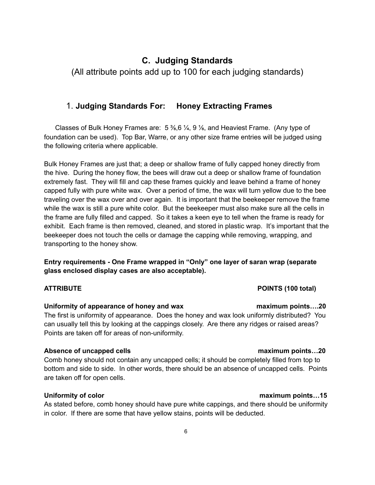## **C. Judging Standards**

(All attribute points add up to 100 for each judging standards)

### 1. **Judging Standards For: Honey Extracting Frames**

Classes of Bulk Honey Frames are:  $5\frac{3}{6}$ ,  $\frac{1}{4}$ ,  $9\frac{1}{8}$ , and Heaviest Frame. (Any type of foundation can be used). Top Bar, Warre, or any other size frame entries will be judged using the following criteria where applicable.

Bulk Honey Frames are just that; a deep or shallow frame of fully capped honey directly from the hive. During the honey flow, the bees will draw out a deep or shallow frame of foundation extremely fast. They will fill and cap these frames quickly and leave behind a frame of honey capped fully with pure white wax. Over a period of time, the wax will turn yellow due to the bee traveling over the wax over and over again. It is important that the beekeeper remove the frame while the wax is still a pure white color. But the beekeeper must also make sure all the cells in the frame are fully filled and capped. So it takes a keen eye to tell when the frame is ready for exhibit. Each frame is then removed, cleaned, and stored in plastic wrap. It's important that the beekeeper does not touch the cells or damage the capping while removing, wrapping, and transporting to the honey show.

**Entry requirements - One Frame wrapped in "Only" one layer of saran wrap (separate glass enclosed display cases are also acceptable).**

### **Uniformity of appearance of honey and wax maximum points….20**

The first is uniformity of appearance. Does the honey and wax look uniformly distributed? You can usually tell this by looking at the cappings closely. Are there any ridges or raised areas? Points are taken off for areas of non-uniformity.

### **Absence of uncapped cells maximum points…20**

Comb honey should not contain any uncapped cells; it should be completely filled from top to bottom and side to side. In other words, there should be an absence of uncapped cells. Points are taken off for open cells.

### **Uniformity of color maximum points…15**

As stated before, comb honey should have pure white cappings, and there should be uniformity in color. If there are some that have yellow stains, points will be deducted.

### **ATTRIBUTE POINTS (100 total)**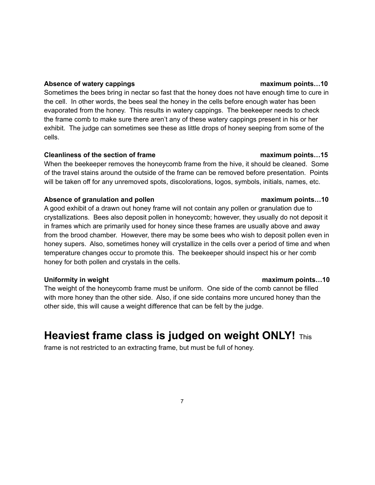#### **Absence of watery cappings maximum points…10**

Sometimes the bees bring in nectar so fast that the honey does not have enough time to cure in the cell. In other words, the bees seal the honey in the cells before enough water has been evaporated from the honey. This results in watery cappings. The beekeeper needs to check the frame comb to make sure there aren't any of these watery cappings present in his or her exhibit. The judge can sometimes see these as little drops of honey seeping from some of the cells.

### **Cleanliness of the section of frame maximum points…15**

When the beekeeper removes the honeycomb frame from the hive, it should be cleaned. Some of the travel stains around the outside of the frame can be removed before presentation. Points will be taken off for any unremoved spots, discolorations, logos, symbols, initials, names, etc.

### **Absence of granulation and pollen maximum points…10**

A good exhibit of a drawn out honey frame will not contain any pollen or granulation due to crystallizations. Bees also deposit pollen in honeycomb; however, they usually do not deposit it in frames which are primarily used for honey since these frames are usually above and away from the brood chamber. However, there may be some bees who wish to deposit pollen even in honey supers. Also, sometimes honey will crystallize in the cells over a period of time and when temperature changes occur to promote this. The beekeeper should inspect his or her comb honey for both pollen and crystals in the cells.

### **Uniformity in weight maximum points…10**

The weight of the honeycomb frame must be uniform. One side of the comb cannot be filled with more honey than the other side. Also, if one side contains more uncured honey than the other side, this will cause a weight difference that can be felt by the judge.

# **Heaviest frame class is judged on weight ONLY!** This

frame is not restricted to an extracting frame, but must be full of honey.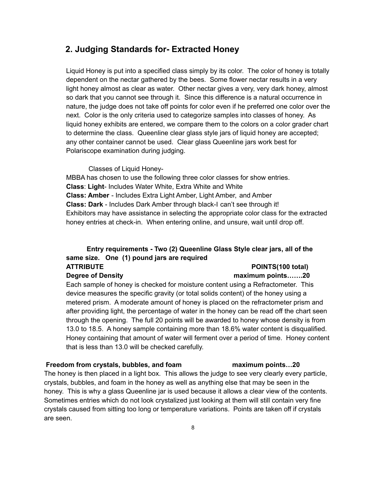### **2. Judging Standards for- Extracted Honey**

Liquid Honey is put into a specified class simply by its color. The color of honey is totally dependent on the nectar gathered by the bees. Some flower nectar results in a very light honey almost as clear as water. Other nectar gives a very, very dark honey, almost so dark that you cannot see through it. Since this difference is a natural occurrence in nature, the judge does not take off points for color even if he preferred one color over the next. Color is the only criteria used to categorize samples into classes of honey. As liquid honey exhibits are entered, we compare them to the colors on a color grader chart to determine the class. Queenline clear glass style jars of liquid honey are accepted; any other container cannot be used. Clear glass Queenline jars work best for Polariscope examination during judging.

Classes of Liquid Honey-

MBBA has chosen to use the following three color classes for show entries. **Class**: **Light**- Includes Water White, Extra White and White **Class: Amber** - Includes Extra Light Amber, Light Amber, and Amber **Class: Dark** - Includes Dark Amber through black-I can't see through it! Exhibitors may have assistance in selecting the appropriate color class for the extracted honey entries at check-in. When entering online, and unsure, wait until drop off.

### **Entry requirements - Two (2) Queenline Glass Style clear jars, all of the same size. One (1) pound jars are required ATTRIBUTE POINTS(100 total)**

### **Degree of Density maximum points…….20**

Each sample of honey is checked for moisture content using a Refractometer. This device measures the specific gravity (or total solids content) of the honey using a metered prism. A moderate amount of honey is placed on the refractometer prism and after providing light, the percentage of water in the honey can be read off the chart seen through the opening. The full 20 points will be awarded to honey whose density is from 13.0 to 18.5. A honey sample containing more than 18.6% water content is disqualified. Honey containing that amount of water will ferment over a period of time. Honey content that is less than 13.0 will be checked carefully.

#### **Freedom from crystals, bubbles, and foam maximum points…20**

The honey is then placed in a light box. This allows the judge to see very clearly every particle, crystals, bubbles, and foam in the honey as well as anything else that may be seen in the honey. This is why a glass Queenline jar is used because it allows a clear view of the contents. Sometimes entries which do not look crystalized just looking at them will still contain very fine crystals caused from sitting too long or temperature variations. Points are taken off if crystals are seen.